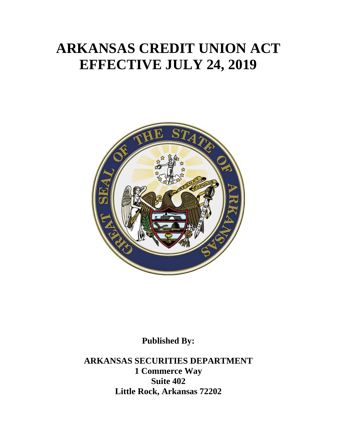# **ARKANSAS CREDIT UNION ACT EFFECTIVE JULY 24, 2019**



**Published By:**

**ARKANSAS SECURITIES DEPARTMENT 1 Commerce Way Suite 402 Little Rock, Arkansas 72202**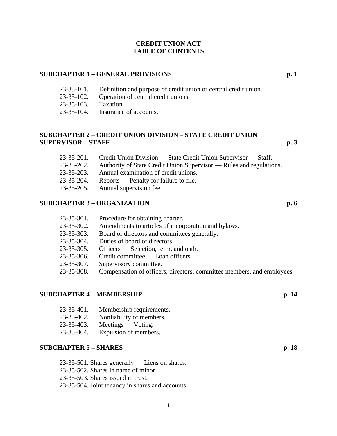#### **CREDIT UNION ACT TABLE OF CONTENTS**

#### **SUBCHAPTER 1 – GENERAL PROVISIONS p. 1**

- 23-35-101. Definition and purpose of credit union or central credit union.
- 23-35-102. Operation of central credit unions.
- 23-35-103. Taxation.
- 23-35-104. Insurance of accounts.

# **SUBCHAPTER 2 – CREDIT UNION DIVISION – STATE CREDIT UNION SUPERVISOR – STAFF p. 3**

- 23-35-201. Credit Union Division State Credit Union Supervisor Staff.
- 23-35-202. Authority of State Credit Union Supervisor Rules and regulations.
- 23-35-203. Annual examination of credit unions.
- 23-35-204. Reports Penalty for failure to file.
- 23-35-205. Annual supervision fee.

# **SUBCHAPTER 3 – ORGANIZATION p. 6**

| $23 - 35 - 301$ . | Procedure for obtaining charter.                    |
|-------------------|-----------------------------------------------------|
| $23 - 35 - 302$ . | Amendments to articles of incorporation and bylaws. |
| $23 - 35 - 303$ . | Board of directors and committees generally.        |
| $23 - 35 - 304$ . | Duties of board of directors.                       |
| $23 - 35 - 305$ . | Officers — Selection, term, and oath.               |
| 22.25             | $\alpha$ is the set of $\alpha$                     |

- 23-35-306. Credit committee Loan officers.
- 23-35-307. Supervisory committee.
- 23-35-308. Compensation of officers, directors, committee members, and employees.

# **SUBCHAPTER 4 – MEMBERSHIP p. 14**

- 23-35-401. Membership requirements.
- 23-35-402. Nonliability of members.
- 23-35-403. Meetings Voting.
- 23-35-404. Expulsion of members.

# **SUBCHAPTER 5 – SHARES p. 18**

- 23-35-501. Shares generally Liens on shares.
- 23-35-502. Shares in name of minor.
- 23-35-503. Shares issued in trust.
- 23-35-504. Joint tenancy in shares and accounts.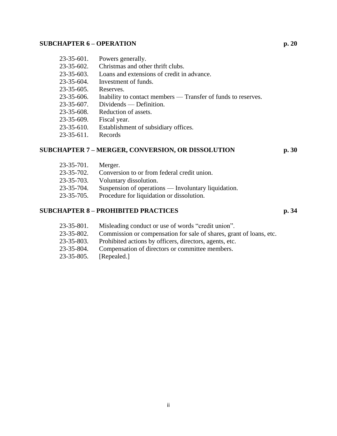# **SUBCHAPTER 6 – OPERATION p. 20**

| $23 - 35 - 601$ . | Powers generally.                                             |
|-------------------|---------------------------------------------------------------|
| $23 - 35 - 602$ . | Christmas and other thrift clubs.                             |
| 23-35-603.        | Loans and extensions of credit in advance.                    |
| $23 - 35 - 604.$  | Investment of funds.                                          |
| $23 - 35 - 605$ . | Reserves.                                                     |
| 23-35-606.        | Inability to contact members — Transfer of funds to reserves. |
| $23 - 35 - 607$ . | Dividends — Definition.                                       |
| 23-35-608.        | Reduction of assets.                                          |
| $23 - 35 - 609$ . | Fiscal year.                                                  |
| $23 - 35 - 610.$  | Establishment of subsidiary offices.                          |
| $23 - 35 - 611$ . | Records                                                       |
|                   |                                                               |

# **SUBCHAPTER 7 – MERGER, CONVERSION, OR DISSOLUTION p. 30**

| $23 - 35 - 701$ . | Merger.                                             |
|-------------------|-----------------------------------------------------|
| $23 - 35 - 702$ . | Conversion to or from federal credit union.         |
| $23 - 35 - 703$ . | Voluntary dissolution.                              |
| $23 - 35 - 704$ . | Suspension of operations — Involuntary liquidation. |
| $23 - 35 - 705$ . | Procedure for liquidation or dissolution.           |
|                   |                                                     |

# **SUBCHAPTER 8 – PROHIBITED PRACTICES p. 34**

- 23-35-801. Misleading conduct or use of words "credit union".
- 23-35-802. Commission or compensation for sale of shares, grant of loans, etc.
- 23-35-803. Prohibited actions by officers, directors, agents, etc.
- 23-35-804. Compensation of directors or committee members.
- 23-35-805. [Repealed.]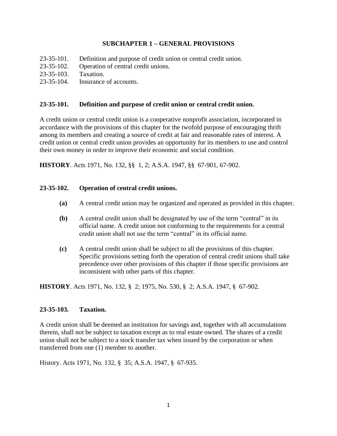# **SUBCHAPTER 1 – GENERAL PROVISIONS**

- 23-35-101. Definition and purpose of credit union or central credit union.
- 23-35-102. Operation of central credit unions.
- 23-35-103. Taxation.
- 23-35-104. Insurance of accounts.

# **23-35-101. Definition and purpose of credit union or central credit union.**

A credit union or central credit union is a cooperative nonprofit association, incorporated in accordance with the provisions of this chapter for the twofold purpose of encouraging thrift among its members and creating a source of credit at fair and reasonable rates of interest. A credit union or central credit union provides an opportunity for its members to use and control their own money in order to improve their economic and social condition.

**HISTORY**. Acts 1971, No. 132, §§ 1, 2; A.S.A. 1947, §§ 67-901, 67-902.

# **23-35-102. Operation of central credit unions.**

- **(a)** A central credit union may be organized and operated as provided in this chapter.
- **(b)** A central credit union shall be designated by use of the term "central" in its official name. A credit union not conforming to the requirements for a central credit union shall not use the term "central" in its official name.
- **(c)** A central credit union shall be subject to all the provisions of this chapter. Specific provisions setting forth the operation of central credit unions shall take precedence over other provisions of this chapter if those specific provisions are inconsistent with other parts of this chapter.

**HISTORY**. Acts 1971, No. 132, § 2; 1975, No. 530, § 2; A.S.A. 1947, § 67-902.

#### **23-35-103. Taxation.**

A credit union shall be deemed an institution for savings and, together with all accumulations therein, shall not be subject to taxation except as to real estate owned. The shares of a credit union shall not be subject to a stock transfer tax when issued by the corporation or when transferred from one (1) member to another.

History. Acts 1971, No. 132, § 35; A.S.A. 1947, § 67-935.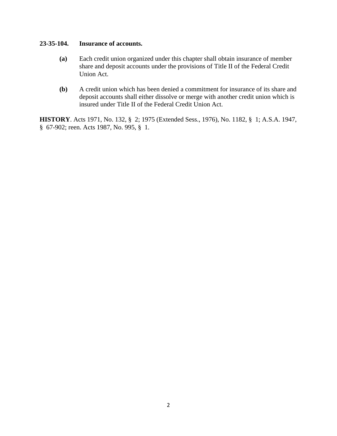# **23-35-104. Insurance of accounts.**

- **(a)** Each credit union organized under this chapter shall obtain insurance of member share and deposit accounts under the provisions of Title II of the Federal Credit Union Act.
- **(b)** A credit union which has been denied a commitment for insurance of its share and deposit accounts shall either dissolve or merge with another credit union which is insured under Title II of the Federal Credit Union Act.

**HISTORY**. Acts 1971, No. 132, § 2; 1975 (Extended Sess., 1976), No. 1182, § 1; A.S.A. 1947, § 67-902; reen. Acts 1987, No. 995, § 1.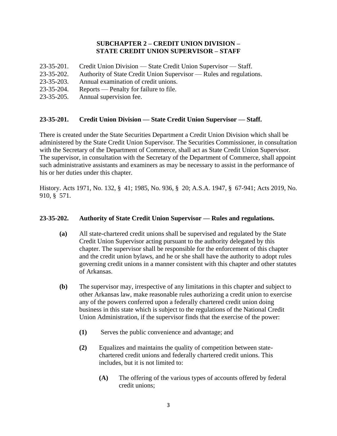# **SUBCHAPTER 2 – CREDIT UNION DIVISION – STATE CREDIT UNION SUPERVISOR – STAFF**

- 23-35-201. Credit Union Division State Credit Union Supervisor Staff.
- 23-35-202. Authority of State Credit Union Supervisor Rules and regulations.
- 23-35-203. Annual examination of credit unions.
- 23-35-204. Reports Penalty for failure to file.
- 23-35-205. Annual supervision fee.

# **23-35-201. Credit Union Division — State Credit Union Supervisor — Staff.**

There is created under the State Securities Department a Credit Union Division which shall be administered by the State Credit Union Supervisor. The Securities Commissioner, in consultation with the Secretary of the Department of Commerce, shall act as State Credit Union Supervisor. The supervisor, in consultation with the Secretary of the Department of Commerce, shall appoint such administrative assistants and examiners as may be necessary to assist in the performance of his or her duties under this chapter.

History. Acts 1971, No. 132, § 41; 1985, No. 936, § 20; A.S.A. 1947, § 67-941; Acts 2019, No. 910, § 571.

# **23-35-202. Authority of State Credit Union Supervisor — Rules and regulations.**

- **(a)** All state-chartered credit unions shall be supervised and regulated by the State Credit Union Supervisor acting pursuant to the authority delegated by this chapter. The supervisor shall be responsible for the enforcement of this chapter and the credit union bylaws, and he or she shall have the authority to adopt rules governing credit unions in a manner consistent with this chapter and other statutes of Arkansas.
- **(b)** The supervisor may, irrespective of any limitations in this chapter and subject to other Arkansas law, make reasonable rules authorizing a credit union to exercise any of the powers conferred upon a federally chartered credit union doing business in this state which is subject to the regulations of the National Credit Union Administration, if the supervisor finds that the exercise of the power:
	- **(1)** Serves the public convenience and advantage; and
	- **(2)** Equalizes and maintains the quality of competition between statechartered credit unions and federally chartered credit unions. This includes, but it is not limited to:
		- **(A)** The offering of the various types of accounts offered by federal credit unions;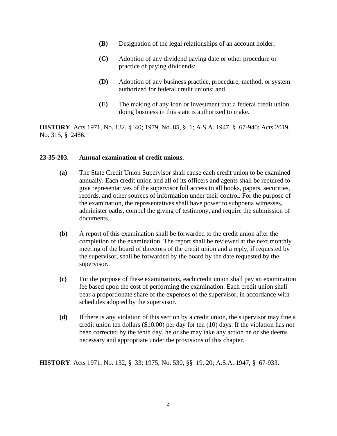- **(B)** Designation of the legal relationships of an account holder;
- **(C)** Adoption of any dividend paying date or other procedure or practice of paying dividends;
- **(D)** Adoption of any business practice, procedure, method, or system authorized for federal credit unions; and
- **(E)** The making of any loan or investment that a federal credit union doing business in this state is authorized to make.

**HISTORY**. Acts 1971, No. 132, § 40; 1979, No. 85, § 1; A.S.A. 1947, § 67-940; Acts 2019, No. 315, § 2486.

#### **23-35-203. Annual examination of credit unions.**

- **(a)** The State Credit Union Supervisor shall cause each credit union to be examined annually. Each credit union and all of its officers and agents shall be required to give representatives of the supervisor full access to all books, papers, securities, records, and other sources of information under their control. For the purpose of the examination, the representatives shall have power to subpoena witnesses, administer oaths, compel the giving of testimony, and require the submission of documents.
- **(b)** A report of this examination shall be forwarded to the credit union after the completion of the examination. The report shall be reviewed at the next monthly meeting of the board of directors of the credit union and a reply, if requested by the supervisor, shall be forwarded by the board by the date requested by the supervisor.
- **(c)** For the purpose of these examinations, each credit union shall pay an examination fee based upon the cost of performing the examination. Each credit union shall bear a proportionate share of the expenses of the supervisor, in accordance with schedules adopted by the supervisor.
- **(d)** If there is any violation of this section by a credit union, the supervisor may fine a credit union ten dollars (\$10.00) per day for ten (10) days. If the violation has not been corrected by the tenth day, he or she may take any action he or she deems necessary and appropriate under the provisions of this chapter.

**HISTORY**. Acts 1971, No. 132, § 33; 1975, No. 530, §§ 19, 20; A.S.A. 1947, § 67-933.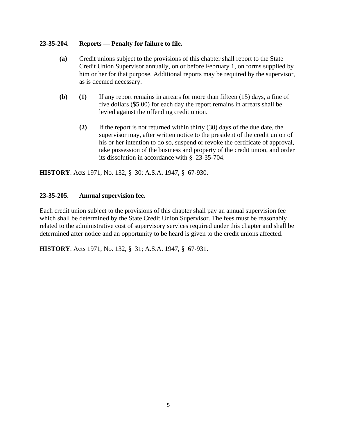# **23-35-204. Reports — Penalty for failure to file.**

- **(a)** Credit unions subject to the provisions of this chapter shall report to the State Credit Union Supervisor annually, on or before February 1, on forms supplied by him or her for that purpose. Additional reports may be required by the supervisor, as is deemed necessary.
- **(b) (1)** If any report remains in arrears for more than fifteen (15) days, a fine of five dollars (\$5.00) for each day the report remains in arrears shall be levied against the offending credit union.
	- **(2)** If the report is not returned within thirty (30) days of the due date, the supervisor may, after written notice to the president of the credit union of his or her intention to do so, suspend or revoke the certificate of approval, take possession of the business and property of the credit union, and order its dissolution in accordance with § 23-35-704.

**HISTORY**. Acts 1971, No. 132, § 30; A.S.A. 1947, § 67-930.

# **23-35-205. Annual supervision fee.**

Each credit union subject to the provisions of this chapter shall pay an annual supervision fee which shall be determined by the State Credit Union Supervisor. The fees must be reasonably related to the administrative cost of supervisory services required under this chapter and shall be determined after notice and an opportunity to be heard is given to the credit unions affected.

**HISTORY**. Acts 1971, No. 132, § 31; A.S.A. 1947, § 67-931.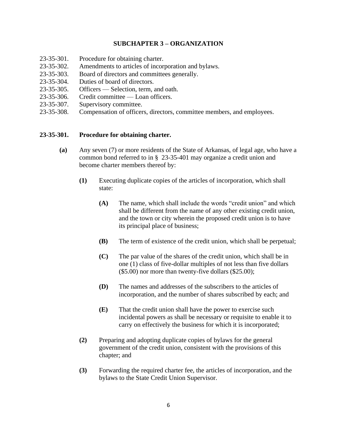# **SUBCHAPTER 3 – ORGANIZATION**

- 23-35-301. Procedure for obtaining charter.
- 23-35-302. Amendments to articles of incorporation and bylaws.
- 23-35-303. Board of directors and committees generally.
- 23-35-304. Duties of board of directors.
- 23-35-305. Officers Selection, term, and oath.
- 23-35-306. Credit committee Loan officers.
- 23-35-307. Supervisory committee.
- 23-35-308. Compensation of officers, directors, committee members, and employees.

#### **23-35-301. Procedure for obtaining charter.**

- **(a)** Any seven (7) or more residents of the State of Arkansas, of legal age, who have a common bond referred to in § 23-35-401 may organize a credit union and become charter members thereof by:
	- **(1)** Executing duplicate copies of the articles of incorporation, which shall state:
		- **(A)** The name, which shall include the words "credit union" and which shall be different from the name of any other existing credit union, and the town or city wherein the proposed credit union is to have its principal place of business;
		- **(B)** The term of existence of the credit union, which shall be perpetual;
		- **(C)** The par value of the shares of the credit union, which shall be in one (1) class of five-dollar multiples of not less than five dollars  $($5.00)$  nor more than twenty-five dollars  $($25.00);$
		- **(D)** The names and addresses of the subscribers to the articles of incorporation, and the number of shares subscribed by each; and
		- **(E)** That the credit union shall have the power to exercise such incidental powers as shall be necessary or requisite to enable it to carry on effectively the business for which it is incorporated;
	- **(2)** Preparing and adopting duplicate copies of bylaws for the general government of the credit union, consistent with the provisions of this chapter; and
	- **(3)** Forwarding the required charter fee, the articles of incorporation, and the bylaws to the State Credit Union Supervisor.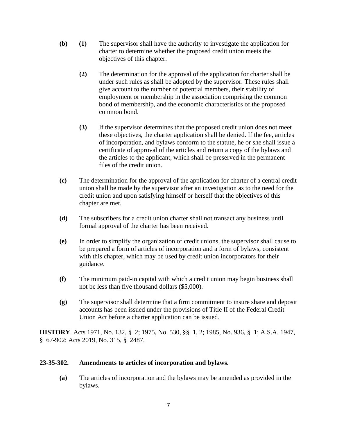- **(b) (1)** The supervisor shall have the authority to investigate the application for charter to determine whether the proposed credit union meets the objectives of this chapter.
	- **(2)** The determination for the approval of the application for charter shall be under such rules as shall be adopted by the supervisor. These rules shall give account to the number of potential members, their stability of employment or membership in the association comprising the common bond of membership, and the economic characteristics of the proposed common bond.
	- **(3)** If the supervisor determines that the proposed credit union does not meet these objectives, the charter application shall be denied. If the fee, articles of incorporation, and bylaws conform to the statute, he or she shall issue a certificate of approval of the articles and return a copy of the bylaws and the articles to the applicant, which shall be preserved in the permanent files of the credit union.
- **(c)** The determination for the approval of the application for charter of a central credit union shall be made by the supervisor after an investigation as to the need for the credit union and upon satisfying himself or herself that the objectives of this chapter are met.
- **(d)** The subscribers for a credit union charter shall not transact any business until formal approval of the charter has been received.
- **(e)** In order to simplify the organization of credit unions, the supervisor shall cause to be prepared a form of articles of incorporation and a form of bylaws, consistent with this chapter, which may be used by credit union incorporators for their guidance.
- **(f)** The minimum paid-in capital with which a credit union may begin business shall not be less than five thousand dollars (\$5,000).
- **(g)** The supervisor shall determine that a firm commitment to insure share and deposit accounts has been issued under the provisions of Title II of the Federal Credit Union Act before a charter application can be issued.

**HISTORY**. Acts 1971, No. 132, § 2; 1975, No. 530, §§ 1, 2; 1985, No. 936, § 1; A.S.A. 1947, § 67-902; Acts 2019, No. 315, § 2487.

# **23-35-302. Amendments to articles of incorporation and bylaws.**

**(a)** The articles of incorporation and the bylaws may be amended as provided in the bylaws.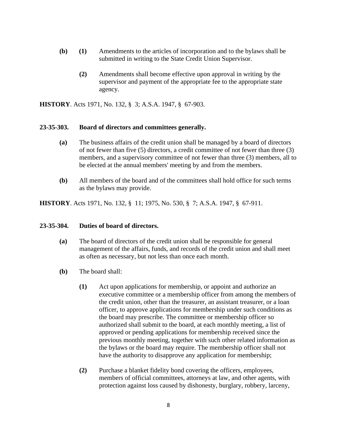- **(b) (1)** Amendments to the articles of incorporation and to the bylaws shall be submitted in writing to the State Credit Union Supervisor.
	- **(2)** Amendments shall become effective upon approval in writing by the supervisor and payment of the appropriate fee to the appropriate state agency.

**HISTORY**. Acts 1971, No. 132, § 3; A.S.A. 1947, § 67-903.

#### **23-35-303. Board of directors and committees generally.**

- **(a)** The business affairs of the credit union shall be managed by a board of directors of not fewer than five (5) directors, a credit committee of not fewer than three (3) members, and a supervisory committee of not fewer than three (3) members, all to be elected at the annual members' meeting by and from the members.
- **(b)** All members of the board and of the committees shall hold office for such terms as the bylaws may provide.

**HISTORY**. Acts 1971, No. 132, § 11; 1975, No. 530, § 7; A.S.A. 1947, § 67-911.

#### **23-35-304. Duties of board of directors.**

- **(a)** The board of directors of the credit union shall be responsible for general management of the affairs, funds, and records of the credit union and shall meet as often as necessary, but not less than once each month.
- **(b)** The board shall:
	- **(1)** Act upon applications for membership, or appoint and authorize an executive committee or a membership officer from among the members of the credit union, other than the treasurer, an assistant treasurer, or a loan officer, to approve applications for membership under such conditions as the board may prescribe. The committee or membership officer so authorized shall submit to the board, at each monthly meeting, a list of approved or pending applications for membership received since the previous monthly meeting, together with such other related information as the bylaws or the board may require. The membership officer shall not have the authority to disapprove any application for membership;
	- **(2)** Purchase a blanket fidelity bond covering the officers, employees, members of official committees, attorneys at law, and other agents, with protection against loss caused by dishonesty, burglary, robbery, larceny,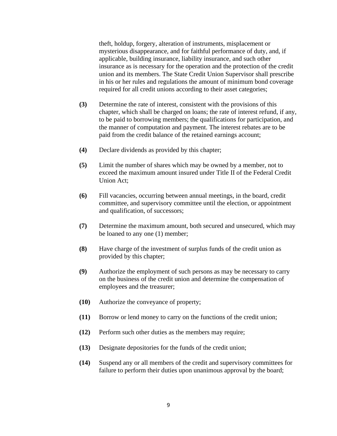theft, holdup, forgery, alteration of instruments, misplacement or mysterious disappearance, and for faithful performance of duty, and, if applicable, building insurance, liability insurance, and such other insurance as is necessary for the operation and the protection of the credit union and its members. The State Credit Union Supervisor shall prescribe in his or her rules and regulations the amount of minimum bond coverage required for all credit unions according to their asset categories;

- **(3)** Determine the rate of interest, consistent with the provisions of this chapter, which shall be charged on loans; the rate of interest refund, if any, to be paid to borrowing members; the qualifications for participation, and the manner of computation and payment. The interest rebates are to be paid from the credit balance of the retained earnings account;
- **(4)** Declare dividends as provided by this chapter;
- **(5)** Limit the number of shares which may be owned by a member, not to exceed the maximum amount insured under Title II of the Federal Credit Union Act;
- **(6)** Fill vacancies, occurring between annual meetings, in the board, credit committee, and supervisory committee until the election, or appointment and qualification, of successors;
- **(7)** Determine the maximum amount, both secured and unsecured, which may be loaned to any one (1) member;
- **(8)** Have charge of the investment of surplus funds of the credit union as provided by this chapter;
- **(9)** Authorize the employment of such persons as may be necessary to carry on the business of the credit union and determine the compensation of employees and the treasurer;
- **(10)** Authorize the conveyance of property;
- **(11)** Borrow or lend money to carry on the functions of the credit union;
- **(12)** Perform such other duties as the members may require;
- **(13)** Designate depositories for the funds of the credit union;
- **(14)** Suspend any or all members of the credit and supervisory committees for failure to perform their duties upon unanimous approval by the board;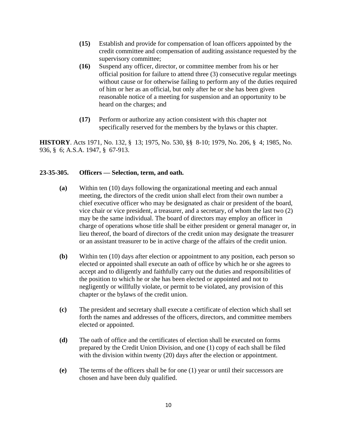- **(15)** Establish and provide for compensation of loan officers appointed by the credit committee and compensation of auditing assistance requested by the supervisory committee;
- **(16)** Suspend any officer, director, or committee member from his or her official position for failure to attend three (3) consecutive regular meetings without cause or for otherwise failing to perform any of the duties required of him or her as an official, but only after he or she has been given reasonable notice of a meeting for suspension and an opportunity to be heard on the charges; and
- **(17)** Perform or authorize any action consistent with this chapter not specifically reserved for the members by the bylaws or this chapter.

**HISTORY**. Acts 1971, No. 132, § 13; 1975, No. 530, §§ 8-10; 1979, No. 206, § 4; 1985, No. 936, § 6; A.S.A. 1947, § 67-913.

# **23-35-305. Officers — Selection, term, and oath.**

- **(a)** Within ten (10) days following the organizational meeting and each annual meeting, the directors of the credit union shall elect from their own number a chief executive officer who may be designated as chair or president of the board, vice chair or vice president, a treasurer, and a secretary, of whom the last two (2) may be the same individual. The board of directors may employ an officer in charge of operations whose title shall be either president or general manager or, in lieu thereof, the board of directors of the credit union may designate the treasurer or an assistant treasurer to be in active charge of the affairs of the credit union.
- **(b)** Within ten (10) days after election or appointment to any position, each person so elected or appointed shall execute an oath of office by which he or she agrees to accept and to diligently and faithfully carry out the duties and responsibilities of the position to which he or she has been elected or appointed and not to negligently or willfully violate, or permit to be violated, any provision of this chapter or the bylaws of the credit union.
- **(c)** The president and secretary shall execute a certificate of election which shall set forth the names and addresses of the officers, directors, and committee members elected or appointed.
- **(d)** The oath of office and the certificates of election shall be executed on forms prepared by the Credit Union Division, and one (1) copy of each shall be filed with the division within twenty (20) days after the election or appointment.
- **(e)** The terms of the officers shall be for one (1) year or until their successors are chosen and have been duly qualified.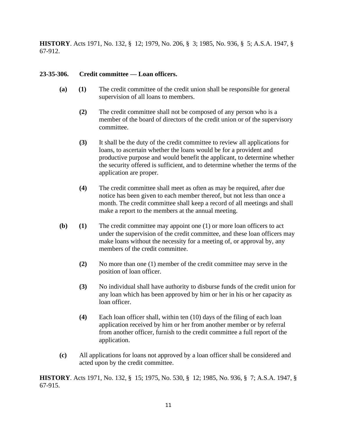**HISTORY**. Acts 1971, No. 132, § 12; 1979, No. 206, § 3; 1985, No. 936, § 5; A.S.A. 1947, § 67-912.

# **23-35-306. Credit committee — Loan officers.**

- **(a) (1)** The credit committee of the credit union shall be responsible for general supervision of all loans to members.
	- **(2)** The credit committee shall not be composed of any person who is a member of the board of directors of the credit union or of the supervisory committee.
	- **(3)** It shall be the duty of the credit committee to review all applications for loans, to ascertain whether the loans would be for a provident and productive purpose and would benefit the applicant, to determine whether the security offered is sufficient, and to determine whether the terms of the application are proper.
	- **(4)** The credit committee shall meet as often as may be required, after due notice has been given to each member thereof, but not less than once a month. The credit committee shall keep a record of all meetings and shall make a report to the members at the annual meeting.
- **(b) (1)** The credit committee may appoint one (1) or more loan officers to act under the supervision of the credit committee, and these loan officers may make loans without the necessity for a meeting of, or approval by, any members of the credit committee.
	- **(2)** No more than one (1) member of the credit committee may serve in the position of loan officer.
	- **(3)** No individual shall have authority to disburse funds of the credit union for any loan which has been approved by him or her in his or her capacity as loan officer.
	- **(4)** Each loan officer shall, within ten (10) days of the filing of each loan application received by him or her from another member or by referral from another officer, furnish to the credit committee a full report of the application.
- **(c)** All applications for loans not approved by a loan officer shall be considered and acted upon by the credit committee.

**HISTORY**. Acts 1971, No. 132, § 15; 1975, No. 530, § 12; 1985, No. 936, § 7; A.S.A. 1947, § 67-915.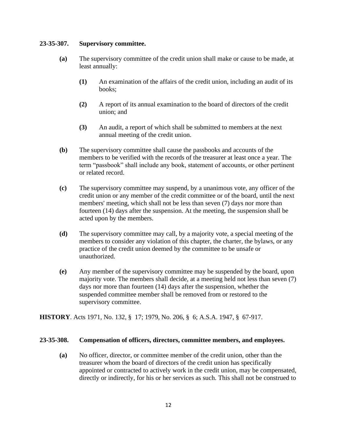# **23-35-307. Supervisory committee.**

- **(a)** The supervisory committee of the credit union shall make or cause to be made, at least annually:
	- **(1)** An examination of the affairs of the credit union, including an audit of its books;
	- **(2)** A report of its annual examination to the board of directors of the credit union; and
	- **(3)** An audit, a report of which shall be submitted to members at the next annual meeting of the credit union.
- **(b)** The supervisory committee shall cause the passbooks and accounts of the members to be verified with the records of the treasurer at least once a year. The term "passbook" shall include any book, statement of accounts, or other pertinent or related record.
- **(c)** The supervisory committee may suspend, by a unanimous vote, any officer of the credit union or any member of the credit committee or of the board, until the next members' meeting, which shall not be less than seven (7) days nor more than fourteen (14) days after the suspension. At the meeting, the suspension shall be acted upon by the members.
- **(d)** The supervisory committee may call, by a majority vote, a special meeting of the members to consider any violation of this chapter, the charter, the bylaws, or any practice of the credit union deemed by the committee to be unsafe or unauthorized.
- **(e)** Any member of the supervisory committee may be suspended by the board, upon majority vote. The members shall decide, at a meeting held not less than seven (7) days nor more than fourteen (14) days after the suspension, whether the suspended committee member shall be removed from or restored to the supervisory committee.

**HISTORY**. Acts 1971, No. 132, § 17; 1979, No. 206, § 6; A.S.A. 1947, § 67-917.

#### **23-35-308. Compensation of officers, directors, committee members, and employees.**

**(a)** No officer, director, or committee member of the credit union, other than the treasurer whom the board of directors of the credit union has specifically appointed or contracted to actively work in the credit union, may be compensated, directly or indirectly, for his or her services as such. This shall not be construed to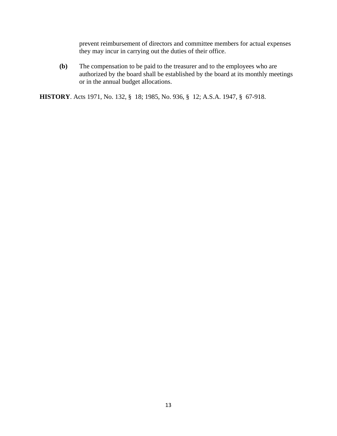prevent reimbursement of directors and committee members for actual expenses they may incur in carrying out the duties of their office.

**(b)** The compensation to be paid to the treasurer and to the employees who are authorized by the board shall be established by the board at its monthly meetings or in the annual budget allocations.

**HISTORY**. Acts 1971, No. 132, § 18; 1985, No. 936, § 12; A.S.A. 1947, § 67-918.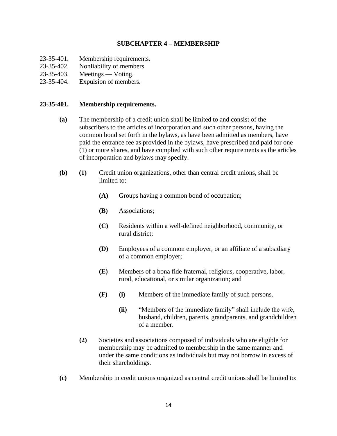# **SUBCHAPTER 4 – MEMBERSHIP**

- 23-35-401. Membership requirements.
- 23-35-402. Nonliability of members.
- 23-35-403. Meetings Voting.
- 23-35-404. Expulsion of members.

# **23-35-401. Membership requirements.**

- **(a)** The membership of a credit union shall be limited to and consist of the subscribers to the articles of incorporation and such other persons, having the common bond set forth in the bylaws, as have been admitted as members, have paid the entrance fee as provided in the bylaws, have prescribed and paid for one (1) or more shares, and have complied with such other requirements as the articles of incorporation and bylaws may specify.
- **(b) (1)** Credit union organizations, other than central credit unions, shall be limited to:
	- **(A)** Groups having a common bond of occupation;
	- **(B)** Associations;
	- **(C)** Residents within a well-defined neighborhood, community, or rural district;
	- **(D)** Employees of a common employer, or an affiliate of a subsidiary of a common employer;
	- **(E)** Members of a bona fide fraternal, religious, cooperative, labor, rural, educational, or similar organization; and
	- **(F) (i)** Members of the immediate family of such persons.
		- **(ii)** "Members of the immediate family" shall include the wife, husband, children, parents, grandparents, and grandchildren of a member.
	- **(2)** Societies and associations composed of individuals who are eligible for membership may be admitted to membership in the same manner and under the same conditions as individuals but may not borrow in excess of their shareholdings.
- **(c)** Membership in credit unions organized as central credit unions shall be limited to: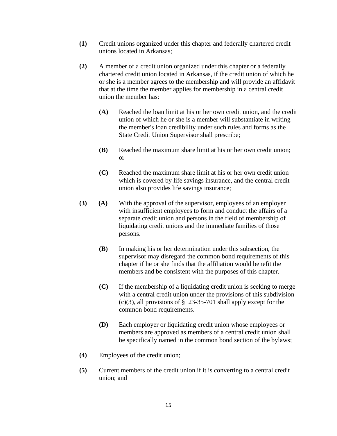- **(1)** Credit unions organized under this chapter and federally chartered credit unions located in Arkansas;
- **(2)** A member of a credit union organized under this chapter or a federally chartered credit union located in Arkansas, if the credit union of which he or she is a member agrees to the membership and will provide an affidavit that at the time the member applies for membership in a central credit union the member has:
	- **(A)** Reached the loan limit at his or her own credit union, and the credit union of which he or she is a member will substantiate in writing the member's loan credibility under such rules and forms as the State Credit Union Supervisor shall prescribe;
	- **(B)** Reached the maximum share limit at his or her own credit union; or
	- **(C)** Reached the maximum share limit at his or her own credit union which is covered by life savings insurance, and the central credit union also provides life savings insurance;
- **(3) (A)** With the approval of the supervisor, employees of an employer with insufficient employees to form and conduct the affairs of a separate credit union and persons in the field of membership of liquidating credit unions and the immediate families of those persons.
	- **(B)** In making his or her determination under this subsection, the supervisor may disregard the common bond requirements of this chapter if he or she finds that the affiliation would benefit the members and be consistent with the purposes of this chapter.
	- **(C)** If the membership of a liquidating credit union is seeking to merge with a central credit union under the provisions of this subdivision  $(c)(3)$ , all provisions of § 23-35-701 shall apply except for the common bond requirements.
	- **(D)** Each employer or liquidating credit union whose employees or members are approved as members of a central credit union shall be specifically named in the common bond section of the bylaws;
- **(4)** Employees of the credit union;
- **(5)** Current members of the credit union if it is converting to a central credit union; and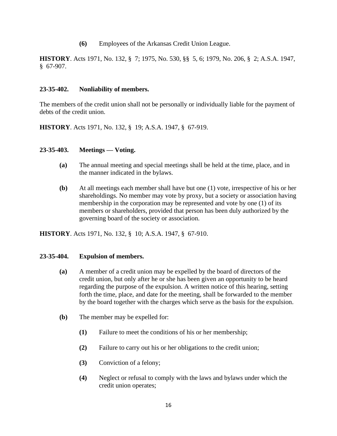**(6)** Employees of the Arkansas Credit Union League.

**HISTORY**. Acts 1971, No. 132, § 7; 1975, No. 530, §§ 5, 6; 1979, No. 206, § 2; A.S.A. 1947, § 67-907.

# **23-35-402. Nonliability of members.**

The members of the credit union shall not be personally or individually liable for the payment of debts of the credit union.

**HISTORY**. Acts 1971, No. 132, § 19; A.S.A. 1947, § 67-919.

#### **23-35-403. Meetings — Voting.**

- **(a)** The annual meeting and special meetings shall be held at the time, place, and in the manner indicated in the bylaws.
- **(b)** At all meetings each member shall have but one (1) vote, irrespective of his or her shareholdings. No member may vote by proxy, but a society or association having membership in the corporation may be represented and vote by one (1) of its members or shareholders, provided that person has been duly authorized by the governing board of the society or association.

**HISTORY**. Acts 1971, No. 132, § 10; A.S.A. 1947, § 67-910.

#### **23-35-404. Expulsion of members.**

- **(a)** A member of a credit union may be expelled by the board of directors of the credit union, but only after he or she has been given an opportunity to be heard regarding the purpose of the expulsion. A written notice of this hearing, setting forth the time, place, and date for the meeting, shall be forwarded to the member by the board together with the charges which serve as the basis for the expulsion.
- **(b)** The member may be expelled for:
	- **(1)** Failure to meet the conditions of his or her membership;
	- **(2)** Failure to carry out his or her obligations to the credit union;
	- **(3)** Conviction of a felony;
	- **(4)** Neglect or refusal to comply with the laws and bylaws under which the credit union operates;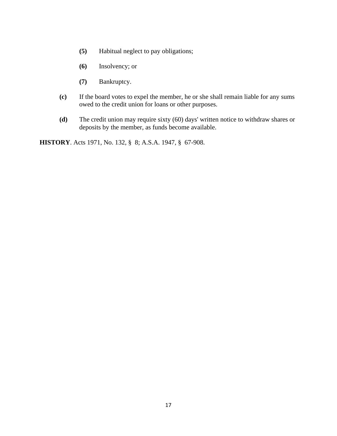- **(5)** Habitual neglect to pay obligations;
- **(6)** Insolvency; or
- **(7)** Bankruptcy.
- **(c)** If the board votes to expel the member, he or she shall remain liable for any sums owed to the credit union for loans or other purposes.
- **(d)** The credit union may require sixty (60) days' written notice to withdraw shares or deposits by the member, as funds become available.

**HISTORY**. Acts 1971, No. 132, § 8; A.S.A. 1947, § 67-908.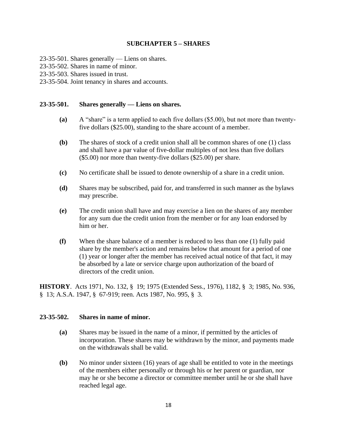# **SUBCHAPTER 5 – SHARES**

- 23-35-501. Shares generally Liens on shares.
- 23-35-502. Shares in name of minor.
- 23-35-503. Shares issued in trust.
- 23-35-504. Joint tenancy in shares and accounts.

#### **23-35-501. Shares generally — Liens on shares.**

- **(a)** A "share" is a term applied to each five dollars (\$5.00), but not more than twentyfive dollars (\$25.00), standing to the share account of a member.
- **(b)** The shares of stock of a credit union shall all be common shares of one (1) class and shall have a par value of five-dollar multiples of not less than five dollars (\$5.00) nor more than twenty-five dollars (\$25.00) per share.
- **(c)** No certificate shall be issued to denote ownership of a share in a credit union.
- **(d)** Shares may be subscribed, paid for, and transferred in such manner as the bylaws may prescribe.
- **(e)** The credit union shall have and may exercise a lien on the shares of any member for any sum due the credit union from the member or for any loan endorsed by him or her.
- **(f)** When the share balance of a member is reduced to less than one (1) fully paid share by the member's action and remains below that amount for a period of one (1) year or longer after the member has received actual notice of that fact, it may be absorbed by a late or service charge upon authorization of the board of directors of the credit union.

**HISTORY**. Acts 1971, No. 132, § 19; 1975 (Extended Sess., 1976), 1182, § 3; 1985, No. 936, § 13; A.S.A. 1947, § 67-919; reen. Acts 1987, No. 995, § 3.

#### **23-35-502. Shares in name of minor.**

- **(a)** Shares may be issued in the name of a minor, if permitted by the articles of incorporation. These shares may be withdrawn by the minor, and payments made on the withdrawals shall be valid.
- **(b)** No minor under sixteen (16) years of age shall be entitled to vote in the meetings of the members either personally or through his or her parent or guardian, nor may he or she become a director or committee member until he or she shall have reached legal age.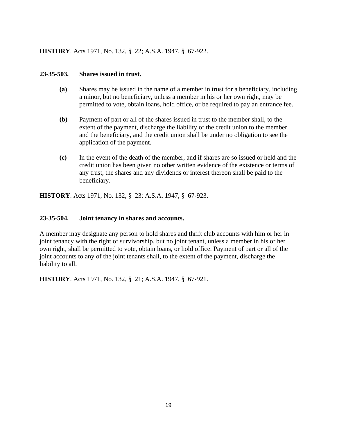# **HISTORY**. Acts 1971, No. 132, § 22; A.S.A. 1947, § 67-922.

### **23-35-503. Shares issued in trust.**

- **(a)** Shares may be issued in the name of a member in trust for a beneficiary, including a minor, but no beneficiary, unless a member in his or her own right, may be permitted to vote, obtain loans, hold office, or be required to pay an entrance fee.
- **(b)** Payment of part or all of the shares issued in trust to the member shall, to the extent of the payment, discharge the liability of the credit union to the member and the beneficiary, and the credit union shall be under no obligation to see the application of the payment.
- **(c)** In the event of the death of the member, and if shares are so issued or held and the credit union has been given no other written evidence of the existence or terms of any trust, the shares and any dividends or interest thereon shall be paid to the beneficiary.

**HISTORY**. Acts 1971, No. 132, § 23; A.S.A. 1947, § 67-923.

# **23-35-504. Joint tenancy in shares and accounts.**

A member may designate any person to hold shares and thrift club accounts with him or her in joint tenancy with the right of survivorship, but no joint tenant, unless a member in his or her own right, shall be permitted to vote, obtain loans, or hold office. Payment of part or all of the joint accounts to any of the joint tenants shall, to the extent of the payment, discharge the liability to all.

**HISTORY**. Acts 1971, No. 132, § 21; A.S.A. 1947, § 67-921.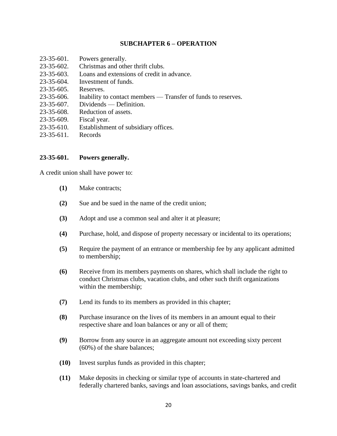# **SUBCHAPTER 6 – OPERATION**

23-35-601. Powers generally. 23-35-602. Christmas and other thrift clubs. 23-35-603. Loans and extensions of credit in advance. 23-35-604. Investment of funds. 23-35-605. Reserves. 23-35-606. Inability to contact members — Transfer of funds to reserves. 23-35-607. Dividends — Definition. 23-35-608. Reduction of assets. 23-35-609. Fiscal year. 23-35-610. Establishment of subsidiary offices. 23-35-611. Records

# **23-35-601. Powers generally.**

A credit union shall have power to:

- **(1)** Make contracts;
- **(2)** Sue and be sued in the name of the credit union;
- **(3)** Adopt and use a common seal and alter it at pleasure;
- **(4)** Purchase, hold, and dispose of property necessary or incidental to its operations;
- **(5)** Require the payment of an entrance or membership fee by any applicant admitted to membership;
- **(6)** Receive from its members payments on shares, which shall include the right to conduct Christmas clubs, vacation clubs, and other such thrift organizations within the membership;
- **(7)** Lend its funds to its members as provided in this chapter;
- **(8)** Purchase insurance on the lives of its members in an amount equal to their respective share and loan balances or any or all of them;
- **(9)** Borrow from any source in an aggregate amount not exceeding sixty percent (60%) of the share balances;
- **(10)** Invest surplus funds as provided in this chapter;
- **(11)** Make deposits in checking or similar type of accounts in state-chartered and federally chartered banks, savings and loan associations, savings banks, and credit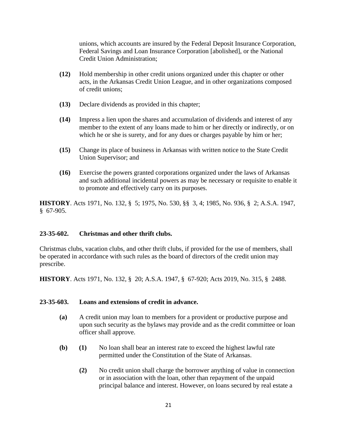unions, which accounts are insured by the Federal Deposit Insurance Corporation, Federal Savings and Loan Insurance Corporation [abolished], or the National Credit Union Administration;

- **(12)** Hold membership in other credit unions organized under this chapter or other acts, in the Arkansas Credit Union League, and in other organizations composed of credit unions;
- **(13)** Declare dividends as provided in this chapter;
- **(14)** Impress a lien upon the shares and accumulation of dividends and interest of any member to the extent of any loans made to him or her directly or indirectly, or on which he or she is surety, and for any dues or charges payable by him or her;
- **(15)** Change its place of business in Arkansas with written notice to the State Credit Union Supervisor; and
- **(16)** Exercise the powers granted corporations organized under the laws of Arkansas and such additional incidental powers as may be necessary or requisite to enable it to promote and effectively carry on its purposes.

**HISTORY**. Acts 1971, No. 132, § 5; 1975, No. 530, §§ 3, 4; 1985, No. 936, § 2; A.S.A. 1947, § 67-905.

# **23-35-602. Christmas and other thrift clubs.**

Christmas clubs, vacation clubs, and other thrift clubs, if provided for the use of members, shall be operated in accordance with such rules as the board of directors of the credit union may prescribe.

**HISTORY**. Acts 1971, No. 132, § 20; A.S.A. 1947, § 67-920; Acts 2019, No. 315, § 2488.

# **23-35-603. Loans and extensions of credit in advance.**

- **(a)** A credit union may loan to members for a provident or productive purpose and upon such security as the bylaws may provide and as the credit committee or loan officer shall approve.
- **(b) (1)** No loan shall bear an interest rate to exceed the highest lawful rate permitted under the Constitution of the State of Arkansas.
	- **(2)** No credit union shall charge the borrower anything of value in connection or in association with the loan, other than repayment of the unpaid principal balance and interest. However, on loans secured by real estate a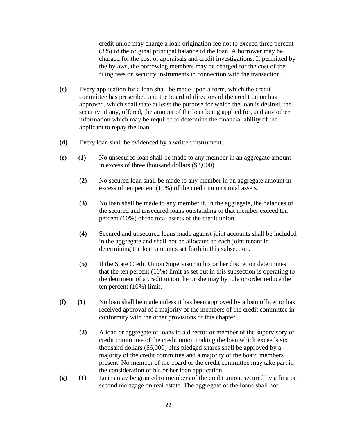credit union may charge a loan origination fee not to exceed three percent (3%) of the original principal balance of the loan. A borrower may be charged for the cost of appraisals and credit investigations. If permitted by the bylaws, the borrowing members may be charged for the cost of the filing fees on security instruments in connection with the transaction.

- **(c)** Every application for a loan shall be made upon a form, which the credit committee has prescribed and the board of directors of the credit union has approved, which shall state at least the purpose for which the loan is desired, the security, if any, offered, the amount of the loan being applied for, and any other information which may be required to determine the financial ability of the applicant to repay the loan.
- **(d)** Every loan shall be evidenced by a written instrument.
- **(e) (1)** No unsecured loan shall be made to any member in an aggregate amount in excess of three thousand dollars (\$3,000).
	- **(2)** No secured loan shall be made to any member in an aggregate amount in excess of ten percent (10%) of the credit union's total assets.
	- **(3)** No loan shall be made to any member if, in the aggregate, the balances of the secured and unsecured loans outstanding to that member exceed ten percent (10%) of the total assets of the credit union.
	- **(4)** Secured and unsecured loans made against joint accounts shall be included in the aggregate and shall not be allocated to each joint tenant in determining the loan amounts set forth in this subsection.
	- **(5)** If the State Credit Union Supervisor in his or her discretion determines that the ten percent (10%) limit as set out in this subsection is operating to the detriment of a credit union, he or she may by rule or order reduce the ten percent (10%) limit.
- **(f) (1)** No loan shall be made unless it has been approved by a loan officer or has received approval of a majority of the members of the credit committee in conformity with the other provisions of this chapter.
	- **(2)** A loan or aggregate of loans to a director or member of the supervisory or credit committee of the credit union making the loan which exceeds six thousand dollars (\$6,000) plus pledged shares shall be approved by a majority of the credit committee and a majority of the board members present. No member of the board or the credit committee may take part in the consideration of his or her loan application.
- **(g) (1)** Loans may be granted to members of the credit union, secured by a first or second mortgage on real estate. The aggregate of the loans shall not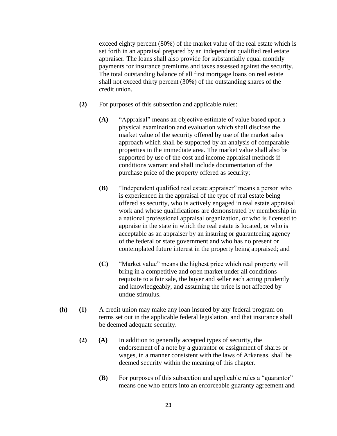exceed eighty percent (80%) of the market value of the real estate which is set forth in an appraisal prepared by an independent qualified real estate appraiser. The loans shall also provide for substantially equal monthly payments for insurance premiums and taxes assessed against the security. The total outstanding balance of all first mortgage loans on real estate shall not exceed thirty percent (30%) of the outstanding shares of the credit union.

- **(2)** For purposes of this subsection and applicable rules:
	- **(A)** "Appraisal" means an objective estimate of value based upon a physical examination and evaluation which shall disclose the market value of the security offered by use of the market sales approach which shall be supported by an analysis of comparable properties in the immediate area. The market value shall also be supported by use of the cost and income appraisal methods if conditions warrant and shall include documentation of the purchase price of the property offered as security;
	- **(B)** "Independent qualified real estate appraiser" means a person who is experienced in the appraisal of the type of real estate being offered as security, who is actively engaged in real estate appraisal work and whose qualifications are demonstrated by membership in a national professional appraisal organization, or who is licensed to appraise in the state in which the real estate is located, or who is acceptable as an appraiser by an insuring or guaranteeing agency of the federal or state government and who has no present or contemplated future interest in the property being appraised; and
	- **(C)** "Market value" means the highest price which real property will bring in a competitive and open market under all conditions requisite to a fair sale, the buyer and seller each acting prudently and knowledgeably, and assuming the price is not affected by undue stimulus.
- **(h) (1)** A credit union may make any loan insured by any federal program on terms set out in the applicable federal legislation, and that insurance shall be deemed adequate security.
	- **(2) (A)** In addition to generally accepted types of security, the endorsement of a note by a guarantor or assignment of shares or wages, in a manner consistent with the laws of Arkansas, shall be deemed security within the meaning of this chapter.
		- **(B)** For purposes of this subsection and applicable rules a "guarantor" means one who enters into an enforceable guaranty agreement and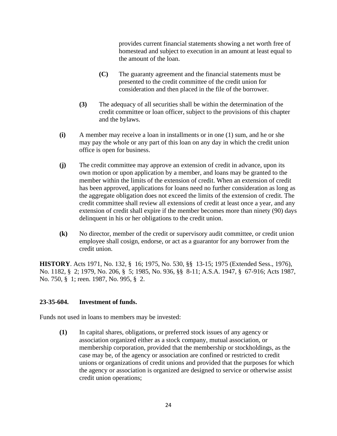provides current financial statements showing a net worth free of homestead and subject to execution in an amount at least equal to the amount of the loan.

- **(C)** The guaranty agreement and the financial statements must be presented to the credit committee of the credit union for consideration and then placed in the file of the borrower.
- **(3)** The adequacy of all securities shall be within the determination of the credit committee or loan officer, subject to the provisions of this chapter and the bylaws.
- **(i)** A member may receive a loan in installments or in one (1) sum, and he or she may pay the whole or any part of this loan on any day in which the credit union office is open for business.
- **(j)** The credit committee may approve an extension of credit in advance, upon its own motion or upon application by a member, and loans may be granted to the member within the limits of the extension of credit. When an extension of credit has been approved, applications for loans need no further consideration as long as the aggregate obligation does not exceed the limits of the extension of credit. The credit committee shall review all extensions of credit at least once a year, and any extension of credit shall expire if the member becomes more than ninety (90) days delinquent in his or her obligations to the credit union.
- **(k)** No director, member of the credit or supervisory audit committee, or credit union employee shall cosign, endorse, or act as a guarantor for any borrower from the credit union.

**HISTORY**. Acts 1971, No. 132, § 16; 1975, No. 530, §§ 13-15; 1975 (Extended Sess., 1976), No. 1182, § 2; 1979, No. 206, § 5; 1985, No. 936, §§ 8-11; A.S.A. 1947, § 67-916; Acts 1987, No. 750, § 1; reen. 1987, No. 995, § 2.

# **23-35-604. Investment of funds.**

Funds not used in loans to members may be invested:

**(1)** In capital shares, obligations, or preferred stock issues of any agency or association organized either as a stock company, mutual association, or membership corporation, provided that the membership or stockholdings, as the case may be, of the agency or association are confined or restricted to credit unions or organizations of credit unions and provided that the purposes for which the agency or association is organized are designed to service or otherwise assist credit union operations;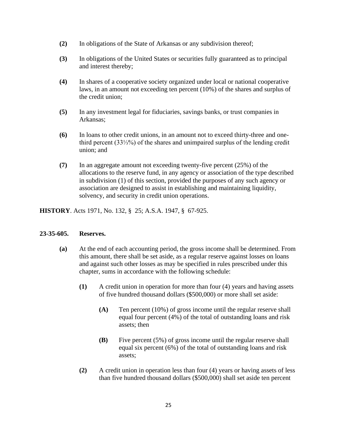- **(2)** In obligations of the State of Arkansas or any subdivision thereof;
- **(3)** In obligations of the United States or securities fully guaranteed as to principal and interest thereby;
- **(4)** In shares of a cooperative society organized under local or national cooperative laws, in an amount not exceeding ten percent (10%) of the shares and surplus of the credit union;
- **(5)** In any investment legal for fiduciaries, savings banks, or trust companies in Arkansas;
- **(6)** In loans to other credit unions, in an amount not to exceed thirty-three and onethird percent (33⅓%) of the shares and unimpaired surplus of the lending credit union; and
- **(7)** In an aggregate amount not exceeding twenty-five percent (25%) of the allocations to the reserve fund, in any agency or association of the type described in subdivision (1) of this section, provided the purposes of any such agency or association are designed to assist in establishing and maintaining liquidity, solvency, and security in credit union operations.

**HISTORY**. Acts 1971, No. 132, § 25; A.S.A. 1947, § 67-925.

# **23-35-605. Reserves.**

- **(a)** At the end of each accounting period, the gross income shall be determined. From this amount, there shall be set aside, as a regular reserve against losses on loans and against such other losses as may be specified in rules prescribed under this chapter, sums in accordance with the following schedule:
	- **(1)** A credit union in operation for more than four (4) years and having assets of five hundred thousand dollars (\$500,000) or more shall set aside:
		- **(A)** Ten percent (10%) of gross income until the regular reserve shall equal four percent (4%) of the total of outstanding loans and risk assets; then
		- **(B)** Five percent (5%) of gross income until the regular reserve shall equal six percent (6%) of the total of outstanding loans and risk assets;
	- **(2)** A credit union in operation less than four (4) years or having assets of less than five hundred thousand dollars (\$500,000) shall set aside ten percent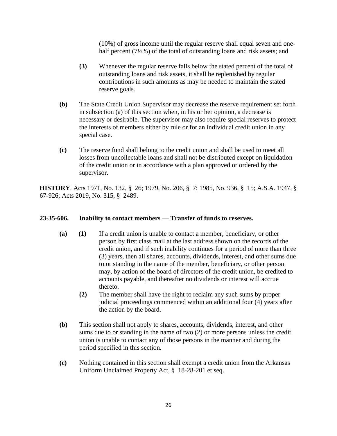(10%) of gross income until the regular reserve shall equal seven and onehalf percent (7½%) of the total of outstanding loans and risk assets; and

- **(3)** Whenever the regular reserve falls below the stated percent of the total of outstanding loans and risk assets, it shall be replenished by regular contributions in such amounts as may be needed to maintain the stated reserve goals.
- **(b)** The State Credit Union Supervisor may decrease the reserve requirement set forth in subsection (a) of this section when, in his or her opinion, a decrease is necessary or desirable. The supervisor may also require special reserves to protect the interests of members either by rule or for an individual credit union in any special case.
- **(c)** The reserve fund shall belong to the credit union and shall be used to meet all losses from uncollectable loans and shall not be distributed except on liquidation of the credit union or in accordance with a plan approved or ordered by the supervisor.

**HISTORY**. Acts 1971, No. 132, § 26; 1979, No. 206, § 7; 1985, No. 936, § 15; A.S.A. 1947, § 67-926; Acts 2019, No. 315, § 2489.

# **23-35-606. Inability to contact members — Transfer of funds to reserves.**

- **(a) (1)** If a credit union is unable to contact a member, beneficiary, or other person by first class mail at the last address shown on the records of the credit union, and if such inability continues for a period of more than three (3) years, then all shares, accounts, dividends, interest, and other sums due to or standing in the name of the member, beneficiary, or other person may, by action of the board of directors of the credit union, be credited to accounts payable, and thereafter no dividends or interest will accrue thereto.
	- **(2)** The member shall have the right to reclaim any such sums by proper judicial proceedings commenced within an additional four (4) years after the action by the board.
- **(b)** This section shall not apply to shares, accounts, dividends, interest, and other sums due to or standing in the name of two (2) or more persons unless the credit union is unable to contact any of those persons in the manner and during the period specified in this section.
- **(c)** Nothing contained in this section shall exempt a credit union from the Arkansas Uniform Unclaimed Property Act, § 18-28-201 et seq.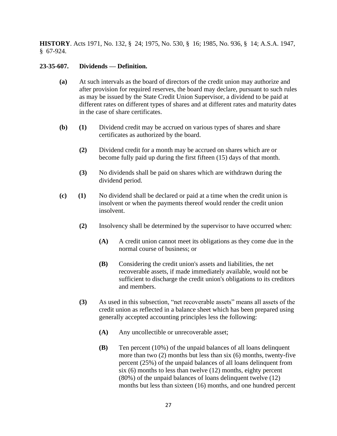**HISTORY**. Acts 1971, No. 132, § 24; 1975, No. 530, § 16; 1985, No. 936, § 14; A.S.A. 1947, § 67-924.

# **23-35-607. Dividends — Definition.**

- **(a)** At such intervals as the board of directors of the credit union may authorize and after provision for required reserves, the board may declare, pursuant to such rules as may be issued by the State Credit Union Supervisor, a dividend to be paid at different rates on different types of shares and at different rates and maturity dates in the case of share certificates.
- **(b) (1)** Dividend credit may be accrued on various types of shares and share certificates as authorized by the board.
	- **(2)** Dividend credit for a month may be accrued on shares which are or become fully paid up during the first fifteen (15) days of that month.
	- **(3)** No dividends shall be paid on shares which are withdrawn during the dividend period.
- **(c) (1)** No dividend shall be declared or paid at a time when the credit union is insolvent or when the payments thereof would render the credit union insolvent.
	- **(2)** Insolvency shall be determined by the supervisor to have occurred when:
		- **(A)** A credit union cannot meet its obligations as they come due in the normal course of business; or
		- **(B)** Considering the credit union's assets and liabilities, the net recoverable assets, if made immediately available, would not be sufficient to discharge the credit union's obligations to its creditors and members.
	- **(3)** As used in this subsection, "net recoverable assets" means all assets of the credit union as reflected in a balance sheet which has been prepared using generally accepted accounting principles less the following:
		- **(A)** Any uncollectible or unrecoverable asset;
		- **(B)** Ten percent (10%) of the unpaid balances of all loans delinquent more than two (2) months but less than six (6) months, twenty-five percent (25%) of the unpaid balances of all loans delinquent from six (6) months to less than twelve (12) months, eighty percent (80%) of the unpaid balances of loans delinquent twelve (12) months but less than sixteen (16) months, and one hundred percent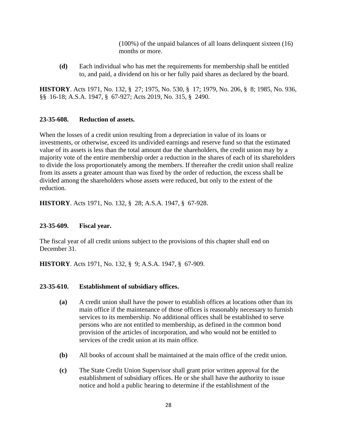(100%) of the unpaid balances of all loans delinquent sixteen (16) months or more.

**(d)** Each individual who has met the requirements for membership shall be entitled to, and paid, a dividend on his or her fully paid shares as declared by the board.

**HISTORY**. Acts 1971, No. 132, § 27; 1975, No. 530, § 17; 1979, No. 206, § 8; 1985, No. 936, §§ 16-18; A.S.A. 1947, § 67-927; Acts 2019, No. 315, § 2490.

# **23-35-608. Reduction of assets.**

When the losses of a credit union resulting from a depreciation in value of its loans or investments, or otherwise, exceed its undivided earnings and reserve fund so that the estimated value of its assets is less than the total amount due the shareholders, the credit union may by a majority vote of the entire membership order a reduction in the shares of each of its shareholders to divide the loss proportionately among the members. If thereafter the credit union shall realize from its assets a greater amount than was fixed by the order of reduction, the excess shall be divided among the shareholders whose assets were reduced, but only to the extent of the reduction.

**HISTORY**. Acts 1971, No. 132, § 28; A.S.A. 1947, § 67-928.

# **23-35-609. Fiscal year.**

The fiscal year of all credit unions subject to the provisions of this chapter shall end on December 31.

**HISTORY**. Acts 1971, No. 132, § 9; A.S.A. 1947, § 67-909.

# **23-35-610. Establishment of subsidiary offices.**

- **(a)** A credit union shall have the power to establish offices at locations other than its main office if the maintenance of those offices is reasonably necessary to furnish services to its membership. No additional offices shall be established to serve persons who are not entitled to membership, as defined in the common bond provision of the articles of incorporation, and who would not be entitled to services of the credit union at its main office.
- **(b)** All books of account shall be maintained at the main office of the credit union.
- **(c)** The State Credit Union Supervisor shall grant prior written approval for the establishment of subsidiary offices. He or she shall have the authority to issue notice and hold a public hearing to determine if the establishment of the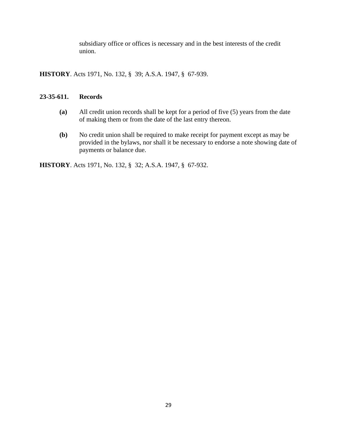subsidiary office or offices is necessary and in the best interests of the credit union.

**HISTORY**. Acts 1971, No. 132, § 39; A.S.A. 1947, § 67-939.

# **23-35-611. Records**

- **(a)** All credit union records shall be kept for a period of five (5) years from the date of making them or from the date of the last entry thereon.
- **(b)** No credit union shall be required to make receipt for payment except as may be provided in the bylaws, nor shall it be necessary to endorse a note showing date of payments or balance due.

**HISTORY**. Acts 1971, No. 132, § 32; A.S.A. 1947, § 67-932.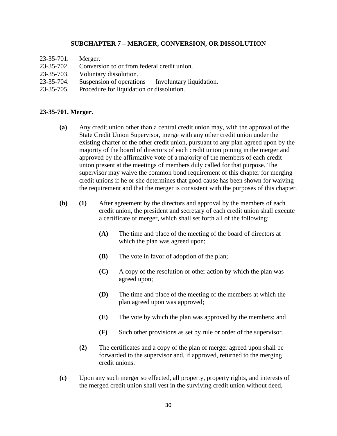# **SUBCHAPTER 7 – MERGER, CONVERSION, OR DISSOLUTION**

- 23-35-701. Merger.
- 23-35-702. Conversion to or from federal credit union.
- 23-35-703. Voluntary dissolution.
- 23-35-704. Suspension of operations Involuntary liquidation.
- 23-35-705. Procedure for liquidation or dissolution.

#### **23-35-701. Merger.**

- **(a)** Any credit union other than a central credit union may, with the approval of the State Credit Union Supervisor, merge with any other credit union under the existing charter of the other credit union, pursuant to any plan agreed upon by the majority of the board of directors of each credit union joining in the merger and approved by the affirmative vote of a majority of the members of each credit union present at the meetings of members duly called for that purpose. The supervisor may waive the common bond requirement of this chapter for merging credit unions if he or she determines that good cause has been shown for waiving the requirement and that the merger is consistent with the purposes of this chapter.
- **(b) (1)** After agreement by the directors and approval by the members of each credit union, the president and secretary of each credit union shall execute a certificate of merger, which shall set forth all of the following:
	- **(A)** The time and place of the meeting of the board of directors at which the plan was agreed upon;
	- **(B)** The vote in favor of adoption of the plan;
	- **(C)** A copy of the resolution or other action by which the plan was agreed upon;
	- **(D)** The time and place of the meeting of the members at which the plan agreed upon was approved;
	- **(E)** The vote by which the plan was approved by the members; and
	- **(F)** Such other provisions as set by rule or order of the supervisor.
	- **(2)** The certificates and a copy of the plan of merger agreed upon shall be forwarded to the supervisor and, if approved, returned to the merging credit unions.
- **(c)** Upon any such merger so effected, all property, property rights, and interests of the merged credit union shall vest in the surviving credit union without deed,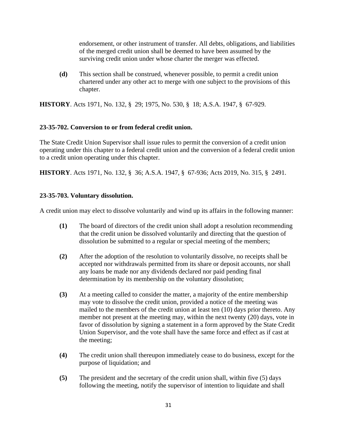endorsement, or other instrument of transfer. All debts, obligations, and liabilities of the merged credit union shall be deemed to have been assumed by the surviving credit union under whose charter the merger was effected.

**(d)** This section shall be construed, whenever possible, to permit a credit union chartered under any other act to merge with one subject to the provisions of this chapter.

**HISTORY**. Acts 1971, No. 132, § 29; 1975, No. 530, § 18; A.S.A. 1947, § 67-929.

# **23-35-702. Conversion to or from federal credit union.**

The State Credit Union Supervisor shall issue rules to permit the conversion of a credit union operating under this chapter to a federal credit union and the conversion of a federal credit union to a credit union operating under this chapter.

**HISTORY**. Acts 1971, No. 132, § 36; A.S.A. 1947, § 67-936; Acts 2019, No. 315, § 2491.

# **23-35-703. Voluntary dissolution.**

A credit union may elect to dissolve voluntarily and wind up its affairs in the following manner:

- **(1)** The board of directors of the credit union shall adopt a resolution recommending that the credit union be dissolved voluntarily and directing that the question of dissolution be submitted to a regular or special meeting of the members;
- **(2)** After the adoption of the resolution to voluntarily dissolve, no receipts shall be accepted nor withdrawals permitted from its share or deposit accounts, nor shall any loans be made nor any dividends declared nor paid pending final determination by its membership on the voluntary dissolution;
- **(3)** At a meeting called to consider the matter, a majority of the entire membership may vote to dissolve the credit union, provided a notice of the meeting was mailed to the members of the credit union at least ten (10) days prior thereto. Any member not present at the meeting may, within the next twenty (20) days, vote in favor of dissolution by signing a statement in a form approved by the State Credit Union Supervisor, and the vote shall have the same force and effect as if cast at the meeting;
- **(4)** The credit union shall thereupon immediately cease to do business, except for the purpose of liquidation; and
- **(5)** The president and the secretary of the credit union shall, within five (5) days following the meeting, notify the supervisor of intention to liquidate and shall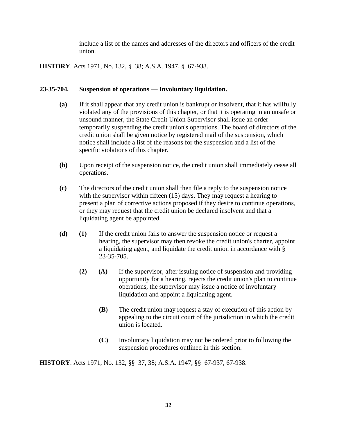include a list of the names and addresses of the directors and officers of the credit union.

**HISTORY**. Acts 1971, No. 132, § 38; A.S.A. 1947, § 67-938.

# **23-35-704. Suspension of operations — Involuntary liquidation.**

- **(a)** If it shall appear that any credit union is bankrupt or insolvent, that it has willfully violated any of the provisions of this chapter, or that it is operating in an unsafe or unsound manner, the State Credit Union Supervisor shall issue an order temporarily suspending the credit union's operations. The board of directors of the credit union shall be given notice by registered mail of the suspension, which notice shall include a list of the reasons for the suspension and a list of the specific violations of this chapter.
- **(b)** Upon receipt of the suspension notice, the credit union shall immediately cease all operations.
- **(c)** The directors of the credit union shall then file a reply to the suspension notice with the supervisor within fifteen (15) days. They may request a hearing to present a plan of corrective actions proposed if they desire to continue operations, or they may request that the credit union be declared insolvent and that a liquidating agent be appointed.
- **(d) (1)** If the credit union fails to answer the suspension notice or request a hearing, the supervisor may then revoke the credit union's charter, appoint a liquidating agent, and liquidate the credit union in accordance with § 23-35-705.
	- **(2) (A)** If the supervisor, after issuing notice of suspension and providing opportunity for a hearing, rejects the credit union's plan to continue operations, the supervisor may issue a notice of involuntary liquidation and appoint a liquidating agent.
		- **(B)** The credit union may request a stay of execution of this action by appealing to the circuit court of the jurisdiction in which the credit union is located.
		- **(C)** Involuntary liquidation may not be ordered prior to following the suspension procedures outlined in this section.

**HISTORY**. Acts 1971, No. 132, §§ 37, 38; A.S.A. 1947, §§ 67-937, 67-938.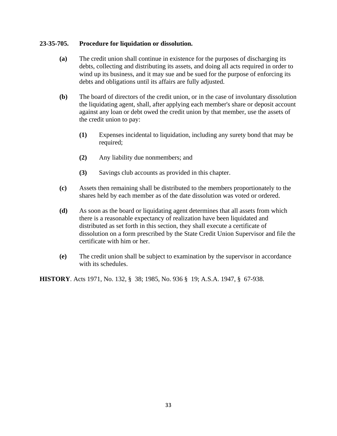# **23-35-705. Procedure for liquidation or dissolution.**

- **(a)** The credit union shall continue in existence for the purposes of discharging its debts, collecting and distributing its assets, and doing all acts required in order to wind up its business, and it may sue and be sued for the purpose of enforcing its debts and obligations until its affairs are fully adjusted.
- **(b)** The board of directors of the credit union, or in the case of involuntary dissolution the liquidating agent, shall, after applying each member's share or deposit account against any loan or debt owed the credit union by that member, use the assets of the credit union to pay:
	- **(1)** Expenses incidental to liquidation, including any surety bond that may be required;
	- **(2)** Any liability due nonmembers; and
	- **(3)** Savings club accounts as provided in this chapter.
- **(c)** Assets then remaining shall be distributed to the members proportionately to the shares held by each member as of the date dissolution was voted or ordered.
- **(d)** As soon as the board or liquidating agent determines that all assets from which there is a reasonable expectancy of realization have been liquidated and distributed as set forth in this section, they shall execute a certificate of dissolution on a form prescribed by the State Credit Union Supervisor and file the certificate with him or her.
- **(e)** The credit union shall be subject to examination by the supervisor in accordance with its schedules.

**HISTORY**. Acts 1971, No. 132, § 38; 1985, No. 936 § 19; A.S.A. 1947, § 67-938.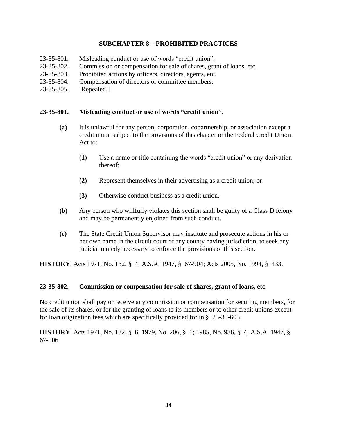# **SUBCHAPTER 8 – PROHIBITED PRACTICES**

- 23-35-801. Misleading conduct or use of words "credit union".
- 23-35-802. Commission or compensation for sale of shares, grant of loans, etc.
- 23-35-803. Prohibited actions by officers, directors, agents, etc.
- 23-35-804. Compensation of directors or committee members.
- 23-35-805. [Repealed.]

#### **23-35-801. Misleading conduct or use of words "credit union".**

- **(a)** It is unlawful for any person, corporation, copartnership, or association except a credit union subject to the provisions of this chapter or the Federal Credit Union Act to:
	- **(1)** Use a name or title containing the words "credit union" or any derivation thereof;
	- **(2)** Represent themselves in their advertising as a credit union; or
	- **(3)** Otherwise conduct business as a credit union.
- **(b)** Any person who willfully violates this section shall be guilty of a Class D felony and may be permanently enjoined from such conduct.
- **(c)** The State Credit Union Supervisor may institute and prosecute actions in his or her own name in the circuit court of any county having jurisdiction, to seek any judicial remedy necessary to enforce the provisions of this section.

**HISTORY**. Acts 1971, No. 132, § 4; A.S.A. 1947, § 67-904; Acts 2005, No. 1994, § 433.

#### **23-35-802. Commission or compensation for sale of shares, grant of loans, etc.**

No credit union shall pay or receive any commission or compensation for securing members, for the sale of its shares, or for the granting of loans to its members or to other credit unions except for loan origination fees which are specifically provided for in § 23-35-603.

**HISTORY**. Acts 1971, No. 132, § 6; 1979, No. 206, § 1; 1985, No. 936, § 4; A.S.A. 1947, § 67-906.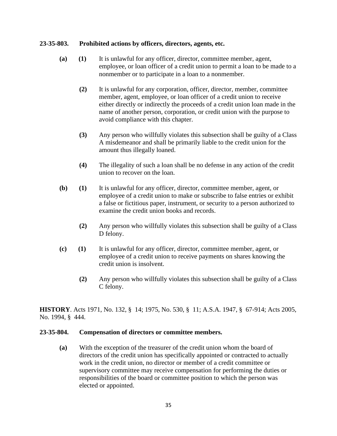# **23-35-803. Prohibited actions by officers, directors, agents, etc.**

- **(a) (1)** It is unlawful for any officer, director, committee member, agent, employee, or loan officer of a credit union to permit a loan to be made to a nonmember or to participate in a loan to a nonmember.
	- **(2)** It is unlawful for any corporation, officer, director, member, committee member, agent, employee, or loan officer of a credit union to receive either directly or indirectly the proceeds of a credit union loan made in the name of another person, corporation, or credit union with the purpose to avoid compliance with this chapter.
	- **(3)** Any person who willfully violates this subsection shall be guilty of a Class A misdemeanor and shall be primarily liable to the credit union for the amount thus illegally loaned.
	- **(4)** The illegality of such a loan shall be no defense in any action of the credit union to recover on the loan.
- **(b) (1)** It is unlawful for any officer, director, committee member, agent, or employee of a credit union to make or subscribe to false entries or exhibit a false or fictitious paper, instrument, or security to a person authorized to examine the credit union books and records.
	- **(2)** Any person who willfully violates this subsection shall be guilty of a Class D felony.
- **(c) (1)** It is unlawful for any officer, director, committee member, agent, or employee of a credit union to receive payments on shares knowing the credit union is insolvent.
	- **(2)** Any person who willfully violates this subsection shall be guilty of a Class C felony.

**HISTORY**. Acts 1971, No. 132, § 14; 1975, No. 530, § 11; A.S.A. 1947, § 67-914; Acts 2005, No. 1994, § 444.

# **23-35-804. Compensation of directors or committee members.**

**(a)** With the exception of the treasurer of the credit union whom the board of directors of the credit union has specifically appointed or contracted to actually work in the credit union, no director or member of a credit committee or supervisory committee may receive compensation for performing the duties or responsibilities of the board or committee position to which the person was elected or appointed.